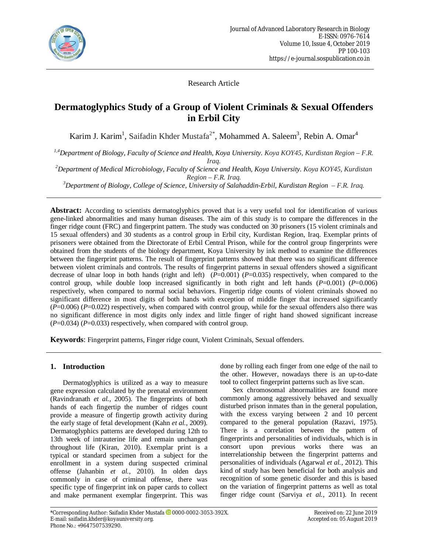

Research Article

# **Dermatoglyphics Study of a Group of Violent Criminals & Sexual Offenders in Erbil City**

Karim J. Karim<sup>1</sup>, Saifadin Khder Mustafa<sup>2\*</sup>, Mohammed A. Saleem<sup>3</sup>, Rebin A. Omar<sup>4</sup>

*1,4Department of Biology, Faculty of Science and Health, Koya University. Koya KOY45, Kurdistan Region – F.R. Iraq.*

*<sup>2</sup>Department of Medical Microbiology, Faculty of Science and Health, Koya University. Koya KOY45, Kurdistan Region – F.R. Iraq.*

*<sup>3</sup>Department of Biology, College of Science, University of Salahaddin-Erbil, Kurdistan Region – F.R. Iraq.*

**Abstract:** According to scientists dermatoglyphics proved that is a very useful tool for identification of various gene-linked abnormalities and many human diseases. The aim of this study is to compare the differences in the finger ridge count (FRC) and fingerprint pattern. The study was conducted on 30 prisoners (15 violent criminals and 15 sexual offenders) and 30 students as a control group in Erbil city, Kurdistan Region, Iraq. Exemplar prints of prisoners were obtained from the Directorate of Erbil Central Prison, while for the control group fingerprints were obtained from the students of the biology department, Koya University by ink method to examine the differences between the fingerprint patterns. The result of fingerprint patterns showed that there was no significant difference between violent criminals and controls. The results of fingerprint patterns in sexual offenders showed a significant decrease of ulnar loop in both hands (right and left) (*P*=0.001) (*P*=0.035) respectively, when compared to the control group, while double loop increased significantly in both right and left hands (*P*=0.001) (*P*=0.006) respectively, when compared to normal social behaviors. Fingertip ridge counts of violent criminals showed no significant difference in most digits of both hands with exception of middle finger that increased significantly (*P*=0.006) (*P*=0.022) respectively, when compared with control group, while for the sexual offenders also there was no significant difference in most digits only index and little finger of right hand showed significant increase  $(P=0.034)$   $(P=0.033)$  respectively, when compared with control group.

**Keywords**: Fingerprint patterns, Finger ridge count, Violent Criminals, Sexual offenders.

# **1. Introduction**

Dermatoglyphics is utilized as a way to measure gene expression calculated by the prenatal environment (Ravindranath *et al.*, 2005). The fingerprints of both hands of each fingertip the number of ridges count provide a measure of fingertip growth activity during the early stage of fetal development (Kahn *et al.*, 2009). Dermatoglyphics patterns are developed during 12th to 13th week of intrauterine life and remain unchanged throughout life (Kiran, 2010). Exemplar print is a typical or standard specimen from a subject for the enrollment in a system during suspected criminal offense (Jahanbin *et al.*, 2010). In olden days commonly in case of criminal offense, there was specific type of fingerprint ink on paper cards to collect and make permanent exemplar fingerprint. This was

done by rolling each finger from one edge of the nail to the other. However, nowadays there is an up-to-date tool to collect fingerprint patterns such as live scan.

Sex chromosomal abnormalities are found more commonly among aggressively behaved and sexually disturbed prison inmates than in the general population, with the excess varying between 2 and 10 percent compared to the general population (Razavi, 1975). There is a correlation between the pattern of fingerprints and personalities of individuals, which is in consort upon previous works there was an interrelationship between the fingerprint patterns and personalities of individuals (Agarwal *et al.*, 2012). This kind of study has been beneficial for both analysis and recognition of some genetic disorder and this is based on the variation of fingerprint patterns as well as total finger ridge count (Sarviya *et al.*, 2011). In recent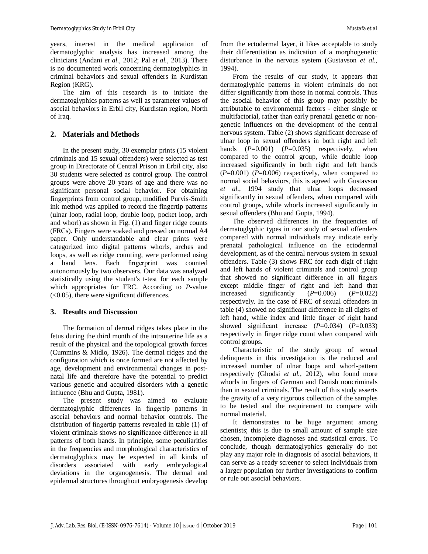years, interest in the medical application of dermatoglyphic analysis has increased among the clinicians (Andani *et al.*, 2012; Pal *et al.*, 2013). There is no documented work concerning dermatoglyphics in criminal behaviors and sexual offenders in Kurdistan Region (KRG).

The aim of this research is to initiate the dermatoglyphics patterns as well as parameter values of asocial behaviors in Erbil city, Kurdistan region, North of Iraq.

### **2. Materials and Methods**

In the present study, 30 exemplar prints (15 violent criminals and 15 sexual offenders) were selected as test group in Directorate of Central Prison in Erbil city, also 30 students were selected as control group. The control groups were above 20 years of age and there was no significant personal social behavior. For obtaining fingerprints from control group, modified Purvis-Smith ink method was applied to record the fingertip patterns (ulnar loop, radial loop, double loop, pocket loop, arch and whorl) as shown in Fig. (1) and finger ridge counts (FRCs). Fingers were soaked and pressed on normal A4 paper. Only understandable and clear prints were categorized into digital patterns whorls, arches and loops, as well as ridge counting, were performed using a hand lens. Each fingerprint was counted autonomously by two observers. Our data was analyzed statistically using the student's t-test for each sample which appropriates for FRC. According to *P*-value (<0.05), there were significant differences.

# **3. Results and Discussion**

The formation of dermal ridges takes place in the fetus during the third month of the intrauterine life as a result of the physical and the topological growth forces (Cummins & Midlo, 1926). The dermal ridges and the configuration which is once formed are not affected by age, development and environmental changes in postnatal life and therefore have the potential to predict various genetic and acquired disorders with a genetic influence (Bhu and Gupta, 1981).

The present study was aimed to evaluate dermatoglyphic differences in fingertip patterns in asocial behaviors and normal behavior controls. The distribution of fingertip patterns revealed in table (1) of violent criminals shows no significance difference in all patterns of both hands. In principle, some peculiarities in the frequencies and morphological characteristics of dermatoglyphics may be expected in all kinds of disorders associated with early embryological deviations in the organogenesis. The dermal and epidermal structures throughout embryogenesis develop

from the ectodermal layer, it likes acceptable to study their differentiation as indication of a morphogenetic disturbance in the nervous system (Gustavson *et al.*, 1994).

From the results of our study, it appears that dermatoglyphic patterns in violent criminals do not differ significantly from those in normal controls. Thus the asocial behavior of this group may possibly be attributable to environmental factors - either single or multifactorial, rather than early prenatal genetic or nongenetic influences on the development of the central nervous system. Table (2) shows significant decrease of ulnar loop in sexual offenders in both right and left hands (*P*=0.001) (*P*=0.035) respectively, when compared to the control group, while double loop increased significantly in both right and left hands (*P*=0.001) (*P*=0.006) respectively, when compared to normal social behaviors, this is agreed with Gustavson *et al.*, 1994 study that ulnar loops decreased significantly in sexual offenders, when compared with control groups, while whorls increased significantly in sexual offenders (Bhu and Gupta, 1994).

The observed differences in the frequencies of dermatoglyphic types in our study of sexual offenders compared with normal individuals may indicate early prenatal pathological influence on the ectodermal development, as of the central nervous system in sexual offenders. Table (3) shows FRC for each digit of right and left hands of violent criminals and control group that showed no significant difference in all fingers except middle finger of right and left hand that increased significantly (*P*=0.006) (*P*=0.022) respectively. In the case of FRC of sexual offenders in table (4) showed no significant difference in all digits of left hand, while index and little finger of right hand showed significant increase (*P*=0.034) (*P*=0.033) respectively in finger ridge count when compared with control groups.

Characteristic of the study group of sexual delinquents in this investigation is the reduced and increased number of ulnar loops and whorl-pattern respectively (Ghodsi *et al.*, 2012), who found more whorls in fingers of German and Danish noncriminals than in sexual criminals. The result of this study asserts the gravity of a very rigorous collection of the samples to be tested and the requirement to compare with normal material.

It demonstrates to be huge argument among scientists; this is due to small amount of sample size chosen, incomplete diagnoses and statistical errors. To conclude, though dermatoglyphics generally do not play any major role in diagnosis of asocial behaviors, it can serve as a ready screener to select individuals from a larger population for further investigations to confirm or rule out asocial behaviors.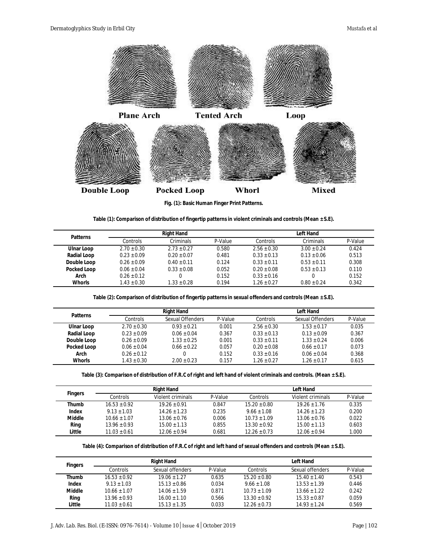

**Fig. (1): Basic Human Finger Print Patterns.**

|  |  |  |  |  | Table (1): Comparison of distribution of fingertip patterns in violent criminals and controls (Mean $\pm$ S.E). |  |  |
|--|--|--|--|--|-----------------------------------------------------------------------------------------------------------------|--|--|
|  |  |  |  |  |                                                                                                                 |  |  |
|  |  |  |  |  |                                                                                                                 |  |  |
|  |  |  |  |  |                                                                                                                 |  |  |

| <b>Patterns</b>    |                 | <b>Right Hand</b> |         | Left Hand       |               |         |  |
|--------------------|-----------------|-------------------|---------|-----------------|---------------|---------|--|
|                    | Controls        | Criminals         | P-Value | Controls        | Criminals     | P-Value |  |
| Ulnar Loop         | $2.70 \pm 0.30$ | $2.73 + 0.27$     | 0.580   | $2.56 \pm 0.30$ | $3.00 + 0.24$ | 0.424   |  |
| <b>Radial Loop</b> | $0.23 + 0.09$   | $0.20 + 0.07$     | 0.481   | $0.33 + 0.13$   | $0.13 + 0.06$ | 0.513   |  |
| Double Loop        | $0.26 \pm 0.09$ | $0.40 + 0.11$     | 0.124   | $0.33 + 0.11$   | $0.53 + 0.11$ | 0.308   |  |
| <b>Pocked Loop</b> | $0.06 \pm 0.04$ | $0.33 + 0.08$     | 0.052   | $0.20 + 0.08$   | $0.53 + 0.13$ | 0.110   |  |
| Arch               | $0.26 \pm 0.12$ |                   | 0.152   | $0.33 + 0.16$   |               | 0.152   |  |
| <b>Whorls</b>      | $1.43 + 0.30$   | $1.33 + 0.28$     | 0.194   | $1.26 \pm 0.27$ | $0.80 + 0.24$ | 0.342   |  |

**Table (2): Comparison of distribution of fingertip patterns in sexual offenders and controls (Mean ± S.E).**

| <b>Patterns</b>    |                 | <b>Right Hand</b> |         | Left Hand       |                  |         |  |
|--------------------|-----------------|-------------------|---------|-----------------|------------------|---------|--|
|                    | Controls        | Sexual Offenders  | P-Value | Controls        | Sexual Offenders | P-Value |  |
| Ulnar Loop         | $2.70 \pm 0.30$ | $0.93 + 0.21$     | 0.001   | $2.56 \pm 0.30$ | $1.53 + 0.17$    | 0.035   |  |
| <b>Radial Loop</b> | $0.23 + 0.09$   | $0.06 + 0.04$     | 0.367   | $0.33 + 0.13$   | $0.13 + 0.09$    | 0.367   |  |
| Double Loop        | $0.26 \pm 0.09$ | $1.33 + 0.25$     | 0.001   | $0.33 + 0.11$   | $1.33 + 0.24$    | 0.006   |  |
| <b>Pocked Loop</b> | $0.06 + 0.04$   | $0.66 + 0.22$     | 0.057   | $0.20 + 0.08$   | $0.66 \pm 0.17$  | 0.073   |  |
| Arch               | $0.26 \pm 0.12$ |                   | 0.152   | $0.33 + 0.16$   | $0.06 \pm 0.04$  | 0.368   |  |
| <b>Whorls</b>      | $1.43 \pm 0.30$ | $2.00 + 0.23$     | 0.157   | $1.26 \pm 0.27$ | $1.26 \pm 0.17$  | 0.615   |  |

**Table (3): Comparison of distribution of F.R.C of right and left hand of violent criminals and controls. (Mean ± S.E).**

|                |                  | <b>Right Hand</b> |         | Left Hand        |                   |         |  |
|----------------|------------------|-------------------|---------|------------------|-------------------|---------|--|
| <b>Fingers</b> | Controls         | Violent criminals | P-Value | Controls         | Violent criminals | P-Value |  |
| <b>Thumb</b>   | $16.53 + 0.92$   | $19.26 + 0.91$    | 0.847   | $15.20 \pm 0.80$ | $19.26 + 1.76$    | 0.335   |  |
| Index          | $9.13 \pm 1.03$  | $14.26 + 1.23$    | 0.235   | $9.66 + 1.08$    | $14.26 + 1.23$    | 0.200   |  |
| Middle         | $10.66 + 1.07$   | $13.06 + 0.76$    | 0.006   | $10.73 + 1.09$   | $13.06 + 0.76$    | 0.022   |  |
| Ring           | $13.96 \pm 0.93$ | $15.00 + 1.13$    | 0.855   | $13.30 + 0.92$   | $15.00 \pm 1.13$  | 0.603   |  |
| Little         | $11.03 + 0.61$   | $12.06 \pm 0.94$  | 0.681   | $12.26 \pm 0.73$ | $12.06 + 0.94$    | 1.000   |  |

**Table (4): Comparison of distribution of F.R.C of right and left hand of sexual offenders and controls (Mean ± S.E).**

| <b>Fingers</b> |                  | <b>Right Hand</b> |         | <b>Left Hand</b> |                  |         |  |
|----------------|------------------|-------------------|---------|------------------|------------------|---------|--|
|                | Controls         | Sexual offenders  | P-Value | Controls         | Sexual offenders | P-Value |  |
| Thumb          | $16.53 \pm 0.92$ | $19.06 \pm 1.27$  | 0.635   | $15.20 \pm 0.80$ | $15.40 \pm 1.40$ | 0.543   |  |
| Index          | $9.13 + 1.03$    | $15.13 \pm 0.86$  | 0.034   | $9.66 \pm 1.08$  | $13.53 \pm 1.39$ | 0.446   |  |
| <b>Middle</b>  | $10.66 \pm 1.07$ | $14.06 \pm 1.59$  | 0.871   | $10.73 \pm 1.09$ | $13.66 \pm 1.22$ | 0.242   |  |
| Ring           | $13.96 \pm 0.93$ | $16.00 \pm 1.10$  | 0.566   | $13.30 + 0.92$   | $15.33 \pm 0.87$ | 0.059   |  |
| Little         | $11.03 \pm 0.61$ | $15.13 \pm 1.35$  | 0.033   | $12.26 \pm 0.73$ | $14.93 \pm 1.24$ | 0.569   |  |